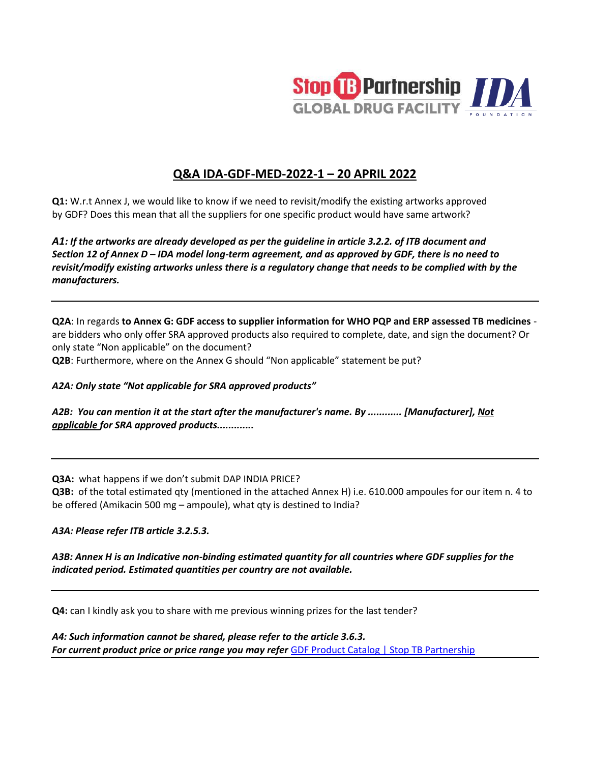

# **Q&A IDA-GDF-MED-2022-1 – 20 APRIL 2022**

**Q1:** W.r.t Annex J, we would like to know if we need to revisit/modify the existing artworks approved by GDF? Does this mean that all the suppliers for one specific product would have same artwork?

*A1: If the artworks are already developed as per the guideline in article 3.2.2. of ITB document and Section 12 of Annex D – IDA model long-term agreement, and as approved by GDF, there is no need to revisit/modify existing artworks unless there is a regulatory change that needs to be complied with by the manufacturers.* 

**Q2A**: In regards **to Annex G: GDF access to supplier information for WHO PQP and ERP assessed TB medicines** are bidders who only offer SRA approved products also required to complete, date, and sign the document? Or only state "Non applicable" on the document?

**Q2B**: Furthermore, where on the Annex G should "Non applicable" statement be put?

*A2A: Only state "Not applicable for SRA approved products"*

*A2B: You can mention it at the start after the manufacturer's name. By ............ [Manufacturer], Not applicable for SRA approved products.............* 

**Q3A:** what happens if we don't submit DAP INDIA PRICE?

**Q3B:** of the total estimated qty (mentioned in the attached Annex H) i.e. 610.000 ampoules for our item n. 4 to be offered (Amikacin 500 mg – ampoule), what qty is destined to India?

*A3A: Please refer ITB article 3.2.5.3.*

*A3B: Annex H is an Indicative non-binding estimated quantity for all countries where GDF supplies for the indicated period. Estimated quantities per country are not available.*

**Q4:** can I kindly ask you to share with me previous winning prizes for the last tender?

*A4: Such information cannot be shared, please refer to the article 3.6.3.* **For current product price or price range you may refer [GDF Product Catalog | Stop TB Partnership](https://www.stoptb.org/global-drug-facility-gdf/gdf-product-catalog)**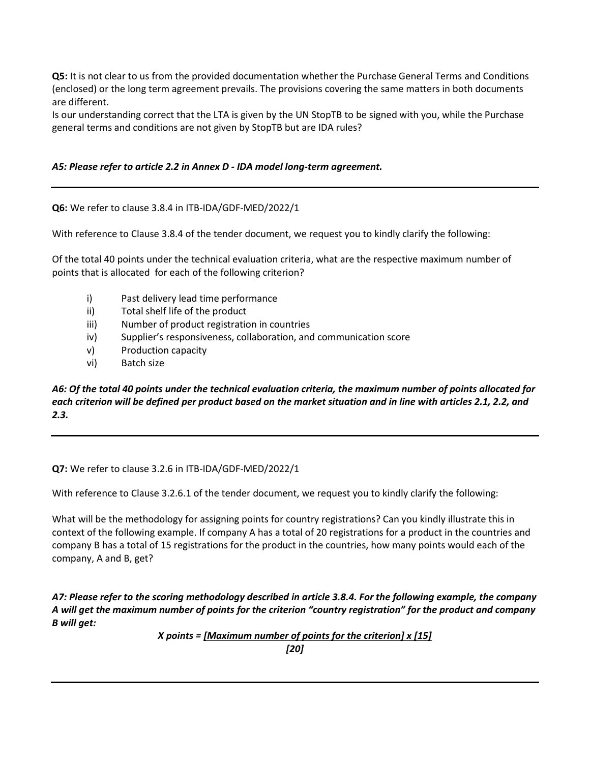**Q5:** It is not clear to us from the provided documentation whether the Purchase General Terms and Conditions (enclosed) or the long term agreement prevails. The provisions covering the same matters in both documents are different.

Is our understanding correct that the LTA is given by the UN StopTB to be signed with you, while the Purchase general terms and conditions are not given by StopTB but are IDA rules?

### *A5: Please refer to article 2.2 in Annex D - IDA model long-term agreement.*

### **Q6:** We refer to clause 3.8.4 in ITB-IDA/GDF-MED/2022/1

With reference to Clause 3.8.4 of the tender document, we request you to kindly clarify the following:

Of the total 40 points under the technical evaluation criteria, what are the respective maximum number of points that is allocated for each of the following criterion?

- i) Past delivery lead time performance
- ii) Total shelf life of the product
- iii) Number of product registration in countries
- iv) Supplier's responsiveness, collaboration, and communication score
- v) Production capacity
- vi) Batch size

## *A6: Of the total 40 points under the technical evaluation criteria, the maximum number of points allocated for each criterion will be defined per product based on the market situation and in line with articles 2.1, 2.2, and 2.3.*

### **Q7:** We refer to clause 3.2.6 in ITB-IDA/GDF-MED/2022/1

With reference to Clause 3.2.6.1 of the tender document, we request you to kindly clarify the following:

What will be the methodology for assigning points for country registrations? Can you kindly illustrate this in context of the following example. If company A has a total of 20 registrations for a product in the countries and company B has a total of 15 registrations for the product in the countries, how many points would each of the company, A and B, get?

*A7: Please refer to the scoring methodology described in article 3.8.4. For the following example, the company A will get the maximum number of points for the criterion "country registration" for the product and company B will get:*

> *X points = [Maximum number of points for the criterion] x [15] [20]*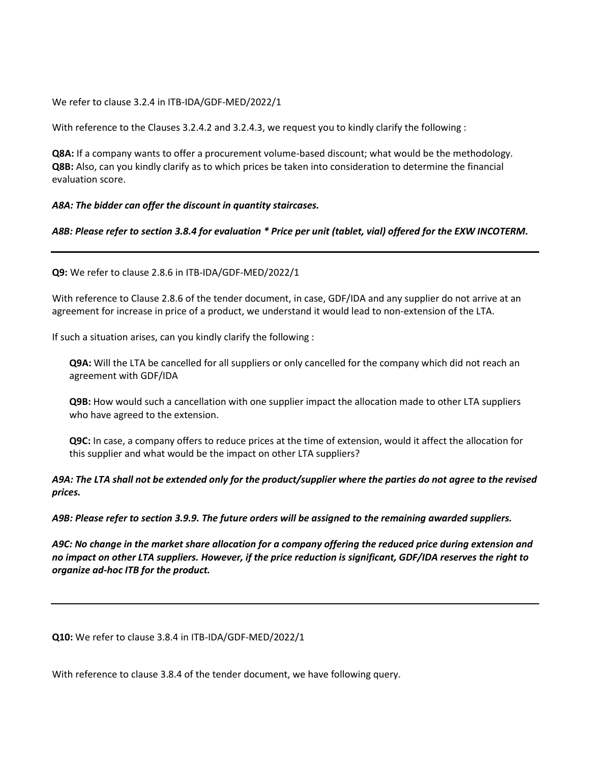We refer to clause 3.2.4 in ITB-IDA/GDF-MED/2022/1

With reference to the Clauses 3.2.4.2 and 3.2.4.3, we request you to kindly clarify the following :

**Q8A:** If a company wants to offer a procurement volume-based discount; what would be the methodology. **Q8B:** Also, can you kindly clarify as to which prices be taken into consideration to determine the financial evaluation score.

#### *A8A: The bidder can offer the discount in quantity staircases.*

### *A8B: Please refer to section 3.8.4 for evaluation \* Price per unit (tablet, vial) offered for the EXW INCOTERM.*

**Q9:** We refer to clause 2.8.6 in ITB-IDA/GDF-MED/2022/1

With reference to Clause 2.8.6 of the tender document, in case, GDF/IDA and any supplier do not arrive at an agreement for increase in price of a product, we understand it would lead to non-extension of the LTA.

If such a situation arises, can you kindly clarify the following :

**Q9A:** Will the LTA be cancelled for all suppliers or only cancelled for the company which did not reach an agreement with GDF/IDA

**Q9B:** How would such a cancellation with one supplier impact the allocation made to other LTA suppliers who have agreed to the extension.

**Q9C:** In case, a company offers to reduce prices at the time of extension, would it affect the allocation for this supplier and what would be the impact on other LTA suppliers?

*A9A: The LTA shall not be extended only for the product/supplier where the parties do not agree to the revised prices.*

*A9B: Please refer to section 3.9.9. The future orders will be assigned to the remaining awarded suppliers.*

*A9C: No change in the market share allocation for a company offering the reduced price during extension and no impact on other LTA suppliers. However, if the price reduction is significant, GDF/IDA reserves the right to organize ad-hoc ITB for the product.*

**Q10:** We refer to clause 3.8.4 in ITB-IDA/GDF-MED/2022/1

With reference to clause 3.8.4 of the tender document, we have following query.